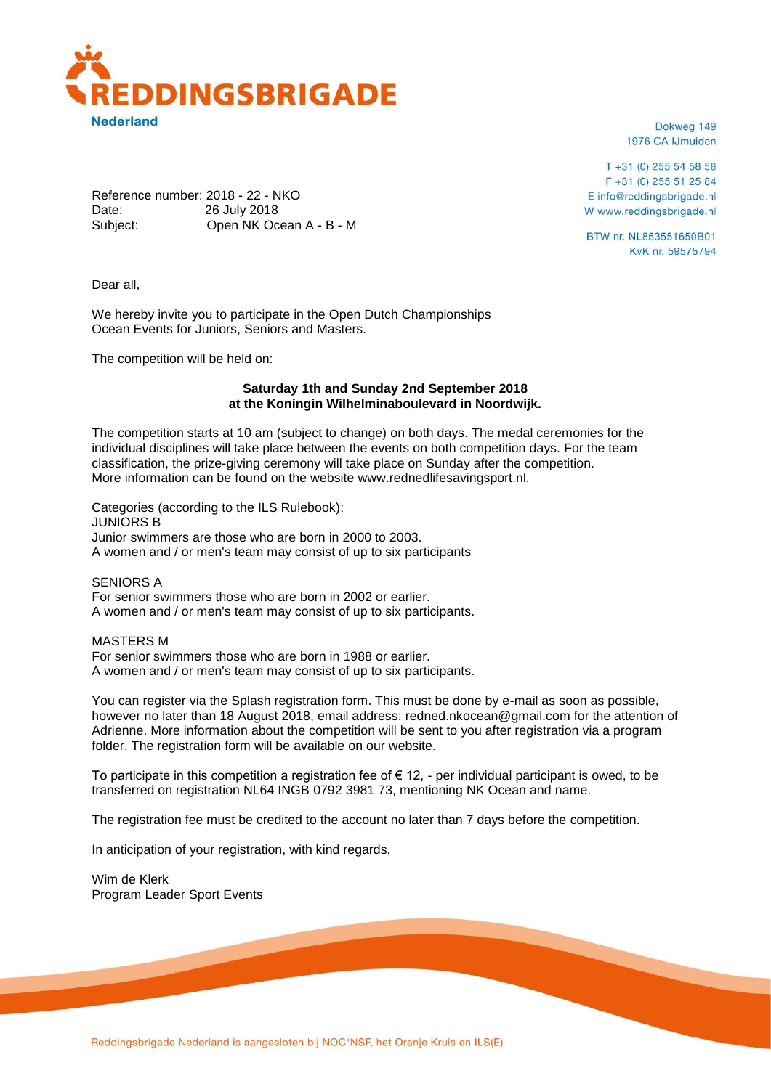

Dokweg 149 1976 CA IJmuiden

 $T + 31(0)$  255 54 58 58 F +31 (0) 255 51 25 84 E info@reddingsbrigade.nl W www.reddingsbrigade.nl

BTW nr. NL853551650B01 KvK nr. 59575794

Reference number: 2018 - 22 - NKO Date: 26 July 2018 Subject: Open NK Ocean A - B - M

Dear all,

We hereby invite you to participate in the Open Dutch Championships Ocean Events for Juniors, Seniors and Masters.

The competition will be held on:

# **Saturday 1th and Sunday 2nd September 2018 at the Koningin Wilhelminaboulevard in Noordwijk.**

The competition starts at 10 am (subject to change) on both days. The medal ceremonies for the individual disciplines will take place between the events on both competition days. For the team classification, the prize-giving ceremony will take place on Sunday after the competition. More information can be found on the website www.rednedlifesavingsport.nl.

Categories (according to the ILS Rulebook): JUNIORS B Junior swimmers are those who are born in 2000 to 2003. A women and / or men's team may consist of up to six participants

SENIORS A For senior swimmers those who are born in 2002 or earlier. A women and / or men's team may consist of up to six participants.

MASTERS M For senior swimmers those who are born in 1988 or earlier. A women and / or men's team may consist of up to six participants.

You can register via the Splash registration form. This must be done by e-mail as soon as possible, however no later than 18 August 2018, email address: redned.nkocean@gmail.com for the attention of Adrienne. More information about the competition will be sent to you after registration via a program folder. The registration form will be available on our website.

To participate in this competition a registration fee of  $\epsilon$  12, - per individual participant is owed, to be transferred on registration NL64 INGB 0792 3981 73, mentioning NK Ocean and name.

The registration fee must be credited to the account no later than 7 days before the competition.

In anticipation of your registration, with kind regards,

Wim de Klerk Program Leader Sport Events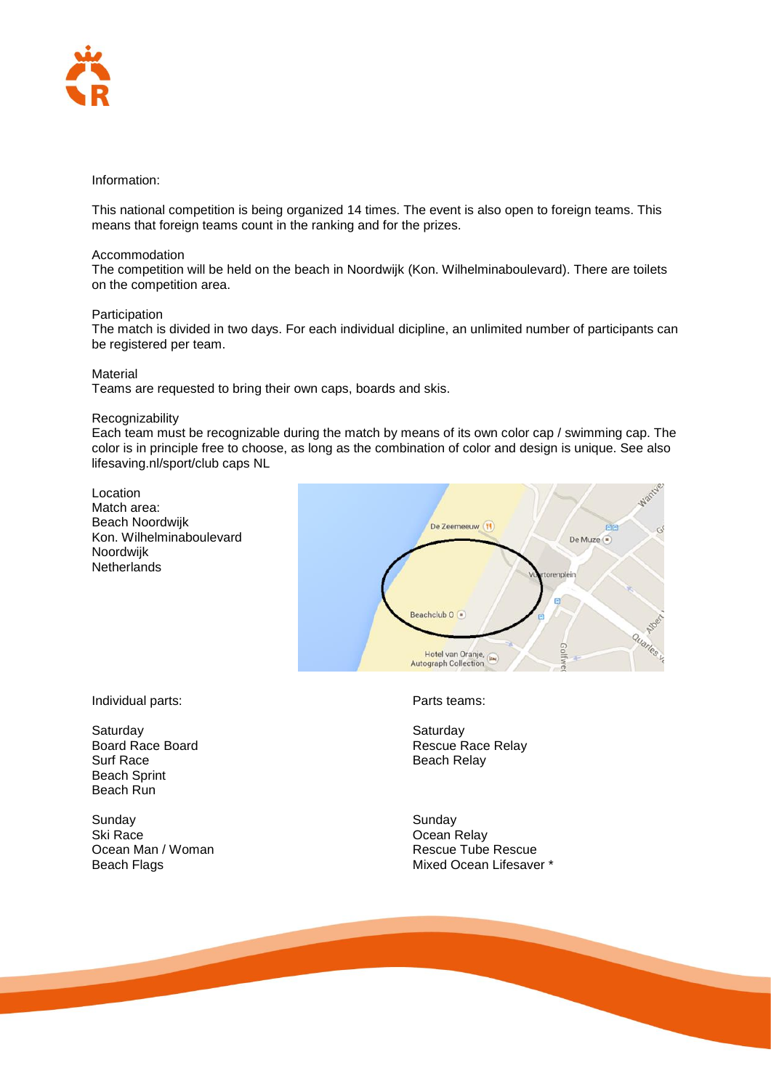

# Information:

This national competition is being organized 14 times. The event is also open to foreign teams. This means that foreign teams count in the ranking and for the prizes.

# Accommodation

The competition will be held on the beach in Noordwijk (Kon. Wilhelminaboulevard). There are toilets on the competition area.

## Participation

The match is divided in two days. For each individual dicipline, an unlimited number of participants can be registered per team.

## **Material**

Teams are requested to bring their own caps, boards and skis.

## Recognizability

Each team must be recognizable during the match by means of its own color cap / swimming cap. The color is in principle free to choose, as long as the combination of color and design is unique. See also lifesaving.nl/sport/club caps NL

Location Match area: Beach Noordwijk Kon. Wilhelminaboulevard Noordwijk **Netherlands** 



Individual parts: Parts teams:

Saturday Saturday Saturday Saturday Beach Sprint Beach Run

Sunday Sunday Ski Race Ocean Relay

Board Race Board<br>
Surf Race<br>
Surf Race<br>
Reach Relay<br>
Reach Relay Beach Relay

**Rescue Tube Rescue** Beach Flags **Mixed Ocean Lifesaver** \*